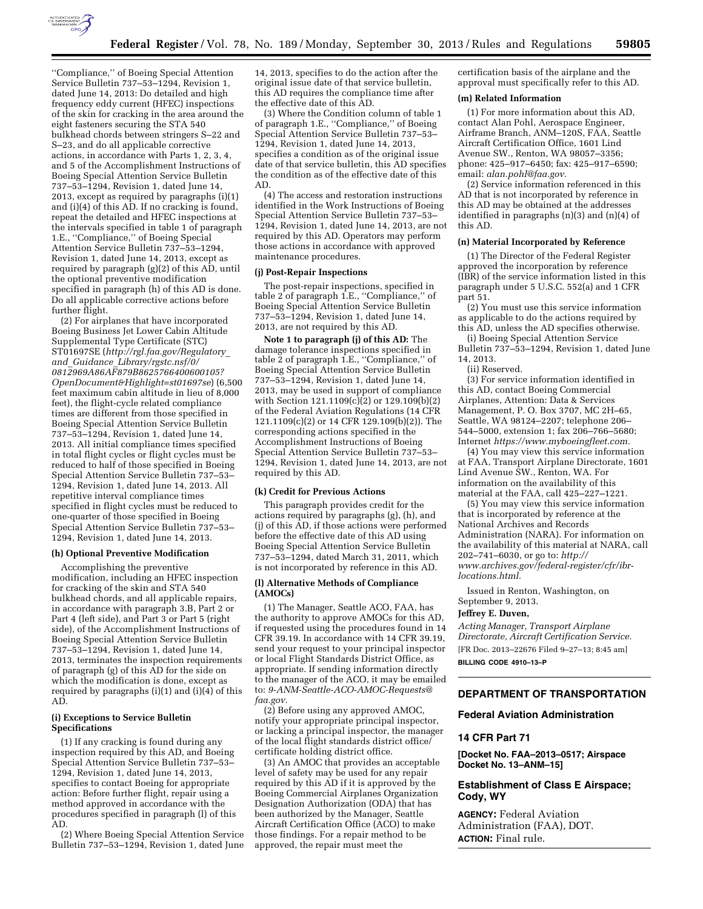

''Compliance,'' of Boeing Special Attention Service Bulletin 737–53–1294, Revision 1, dated June 14, 2013: Do detailed and high frequency eddy current (HFEC) inspections of the skin for cracking in the area around the eight fasteners securing the STA 540 bulkhead chords between stringers S–22 and S–23, and do all applicable corrective actions, in accordance with Parts 1, 2, 3, 4, and 5 of the Accomplishment Instructions of Boeing Special Attention Service Bulletin 737–53–1294, Revision 1, dated June 14, 2013, except as required by paragraphs (i)(1) and (i)(4) of this AD. If no cracking is found, repeat the detailed and HFEC inspections at the intervals specified in table 1 of paragraph 1.E., ''Compliance,'' of Boeing Special Attention Service Bulletin 737–53–1294, Revision 1, dated June 14, 2013, except as required by paragraph (g)(2) of this AD, until the optional preventive modification specified in paragraph (h) of this AD is done. Do all applicable corrective actions before further flight.

(2) For airplanes that have incorporated Boeing Business Jet Lower Cabin Altitude Supplemental Type Certificate (STC) ST01697SE (*[http://rgl.faa.gov/Regulatory](http://rgl.faa.gov/Regulatory_and_Guidance_Library/rgstc.nsf/0/0812969A86AF879B8625766400600105?OpenDocument&Highlight=st01697se)*\_ *and*\_*Guidance*\_*[Library/rgstc.nsf/0/](http://rgl.faa.gov/Regulatory_and_Guidance_Library/rgstc.nsf/0/0812969A86AF879B8625766400600105?OpenDocument&Highlight=st01697se) [0812969A86AF879B8625766400600105?](http://rgl.faa.gov/Regulatory_and_Guidance_Library/rgstc.nsf/0/0812969A86AF879B8625766400600105?OpenDocument&Highlight=st01697se) [OpenDocument&Highlight=st01697se](http://rgl.faa.gov/Regulatory_and_Guidance_Library/rgstc.nsf/0/0812969A86AF879B8625766400600105?OpenDocument&Highlight=st01697se)*) (6,500 feet maximum cabin altitude in lieu of 8,000 feet), the flight-cycle related compliance times are different from those specified in Boeing Special Attention Service Bulletin 737–53–1294, Revision 1, dated June 14, 2013. All initial compliance times specified in total flight cycles or flight cycles must be reduced to half of those specified in Boeing Special Attention Service Bulletin 737–53– 1294, Revision 1, dated June 14, 2013. All repetitive interval compliance times specified in flight cycles must be reduced to one-quarter of those specified in Boeing Special Attention Service Bulletin 737–53– 1294, Revision 1, dated June 14, 2013.

## **(h) Optional Preventive Modification**

Accomplishing the preventive modification, including an HFEC inspection for cracking of the skin and STA 540 bulkhead chords, and all applicable repairs, in accordance with paragraph 3.B, Part 2 or Part 4 (left side), and Part 3 or Part 5 (right side), of the Accomplishment Instructions of Boeing Special Attention Service Bulletin 737–53–1294, Revision 1, dated June 14, 2013, terminates the inspection requirements of paragraph (g) of this AD for the side on which the modification is done, except as required by paragraphs (i)(1) and (i)( $\tilde{4}$ ) of this AD.

## **(i) Exceptions to Service Bulletin Specifications**

(1) If any cracking is found during any inspection required by this AD, and Boeing Special Attention Service Bulletin 737–53– 1294, Revision 1, dated June 14, 2013, specifies to contact Boeing for appropriate action: Before further flight, repair using a method approved in accordance with the procedures specified in paragraph (l) of this AD.

(2) Where Boeing Special Attention Service Bulletin 737–53–1294, Revision 1, dated June

14, 2013, specifies to do the action after the original issue date of that service bulletin, this AD requires the compliance time after the effective date of this AD.

(3) Where the Condition column of table 1 of paragraph 1.E., ''Compliance,'' of Boeing Special Attention Service Bulletin 737–53– 1294, Revision 1, dated June 14, 2013, specifies a condition as of the original issue date of that service bulletin, this AD specifies the condition as of the effective date of this AD.

(4) The access and restoration instructions identified in the Work Instructions of Boeing Special Attention Service Bulletin 737–53– 1294, Revision 1, dated June 14, 2013, are not required by this AD. Operators may perform those actions in accordance with approved maintenance procedures.

## **(j) Post-Repair Inspections**

The post-repair inspections, specified in table 2 of paragraph 1.E., ''Compliance,'' of Boeing Special Attention Service Bulletin 737–53–1294, Revision 1, dated June 14, 2013, are not required by this AD.

**Note 1 to paragraph (j) of this AD:** The damage tolerance inspections specified in table 2 of paragraph 1.E., ''Compliance,'' of Boeing Special Attention Service Bulletin 737–53–1294, Revision 1, dated June 14, 2013, may be used in support of compliance with Section 121.1109(c)(2) or 129.109(b)(2) of the Federal Aviation Regulations (14 CFR 121.1109(c)(2) or 14 CFR 129.109(b)(2)). The corresponding actions specified in the Accomplishment Instructions of Boeing Special Attention Service Bulletin 737–53– 1294, Revision 1, dated June 14, 2013, are not required by this AD.

## **(k) Credit for Previous Actions**

This paragraph provides credit for the actions required by paragraphs (g), (h), and (j) of this AD, if those actions were performed before the effective date of this AD using Boeing Special Attention Service Bulletin 737–53–1294, dated March 31, 2011, which is not incorporated by reference in this AD.

#### **(l) Alternative Methods of Compliance (AMOCs)**

(1) The Manager, Seattle ACO, FAA, has the authority to approve AMOCs for this AD, if requested using the procedures found in 14 CFR 39.19. In accordance with 14 CFR 39.19, send your request to your principal inspector or local Flight Standards District Office, as appropriate. If sending information directly to the manager of the ACO, it may be emailed to: *[9-ANM-Seattle-ACO-AMOC-Requests@](mailto:9-ANM-Seattle-ACO-AMOC-Requests@faa.gov) [faa.gov.](mailto:9-ANM-Seattle-ACO-AMOC-Requests@faa.gov)* 

(2) Before using any approved AMOC, notify your appropriate principal inspector, or lacking a principal inspector, the manager of the local flight standards district office/ certificate holding district office.

(3) An AMOC that provides an acceptable level of safety may be used for any repair required by this AD if it is approved by the Boeing Commercial Airplanes Organization Designation Authorization (ODA) that has been authorized by the Manager, Seattle Aircraft Certification Office (ACO) to make those findings. For a repair method to be approved, the repair must meet the

certification basis of the airplane and the approval must specifically refer to this AD.

## **(m) Related Information**

(1) For more information about this AD, contact Alan Pohl, Aerospace Engineer, Airframe Branch, ANM–120S, FAA, Seattle Aircraft Certification Office, 1601 Lind Avenue SW., Renton, WA 98057–3356; phone: 425–917–6450; fax: 425–917–6590; email: *[alan.pohl@faa.gov.](mailto:alan.pohl@faa.gov)* 

(2) Service information referenced in this AD that is not incorporated by reference in this AD may be obtained at the addresses identified in paragraphs (n)(3) and (n)(4) of this AD.

#### **(n) Material Incorporated by Reference**

(1) The Director of the Federal Register approved the incorporation by reference (IBR) of the service information listed in this paragraph under 5 U.S.C. 552(a) and 1 CFR part 51.

(2) You must use this service information as applicable to do the actions required by this AD, unless the AD specifies otherwise.

(i) Boeing Special Attention Service Bulletin 737–53–1294, Revision 1, dated June 14, 2013.

(ii) Reserved.

(3) For service information identified in this AD, contact Boeing Commercial Airplanes, Attention: Data & Services Management, P. O. Box 3707, MC 2H–65, Seattle, WA 98124–2207; telephone 206– 544–5000, extension 1; fax 206–766–5680; Internet *[https://www.myboeingfleet.com.](https://www.myboeingfleet.com)* 

(4) You may view this service information at FAA, Transport Airplane Directorate, 1601 Lind Avenue SW., Renton, WA. For information on the availability of this material at the FAA, call 425–227–1221.

(5) You may view this service information that is incorporated by reference at the National Archives and Records Administration (NARA). For information on the availability of this material at NARA, call 202–741–6030, or go to: *[http://](http://www.archives.gov/federal-register/cfr/ibr-locations.html) [www.archives.gov/federal-register/cfr/ibr](http://www.archives.gov/federal-register/cfr/ibr-locations.html)[locations.html.](http://www.archives.gov/federal-register/cfr/ibr-locations.html)* 

Issued in Renton, Washington, on September 9, 2013.

#### **Jeffrey E. Duven,**

*Acting Manager, Transport Airplane Directorate, Aircraft Certification Service.*  [FR Doc. 2013–22676 Filed 9–27–13; 8:45 am]

**BILLING CODE 4910–13–P** 

## **DEPARTMENT OF TRANSPORTATION**

#### **Federal Aviation Administration**

## **14 CFR Part 71**

**[Docket No. FAA–2013–0517; Airspace Docket No. 13–ANM–15]** 

# **Establishment of Class E Airspace; Cody, WY**

**AGENCY:** Federal Aviation Administration (FAA), DOT. **ACTION:** Final rule.